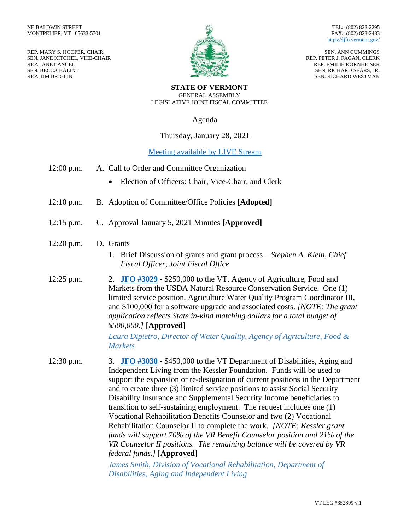REP. MARY S. HOOPER, CHAIR SEN. JANE KITCHEL, VICE-CHAIR REP. JANET ANCEL SEN. BECCA BALINT REP. TIM BRIGLIN



TEL: (802) 828-2295 FAX: (802) 828-2483 <https://ljfo.vermont.gov/>

SEN. ANN CUMMINGS REP. PETER J. FAGAN, CLERK REP. EMILIE KORNHEISER SEN. RICHARD SEARS, JR. SEN. RICHARD WESTMAN

**STATE OF VERMONT** GENERAL ASSEMBLY LEGISLATIVE JOINT FISCAL COMMITTEE

Agenda

## Thursday, January 28, 2021

## Meeting [available by LIVE Stream](https://www.youtube.com/channel/UCgHFernWVwH5MD0Se9NmVhg/videos?view=57)

- 12:00 p.m. A. Call to Order and Committee Organization
	- Election of Officers: Chair, Vice-Chair, and Clerk
- 12:10 p.m. B. Adoption of Committee/Office Policies **[Adopted]**
- 12:15 p.m. C. Approval January 5, 2021 Minutes **[Approved]**

## 12:20 p.m. D. Grants

- 1. Brief Discussion of grants and grant process *Stephen A. Klein, Chief Fiscal Officer, Joint Fiscal Office*
- 12:25 p.m. 2. **[JFO #3029](https://ljfo.vermont.gov/custom_reports/grants/docs/JFO%203029%20packet.pdf)** \$250,000 to the VT. Agency of Agriculture, Food and Markets from the USDA Natural Resource Conservation Service. One (1) limited service position, Agriculture Water Quality Program Coordinator III, and \$100,000 for a software upgrade and associated costs. *[NOTE: The grant application reflects State in-kind matching dollars for a total budget of \$500,000.]* **[Approved]**

*Laura Dipietro, Director of Water Quality, Agency of Agriculture, Food & Markets*

12:30 p.m. 3. **[JFO #3030](https://ljfo.vermont.gov/custom_reports/grants/docs/JFO%203030%20packet.pdf)** - \$450,000 to the VT Department of Disabilities, Aging and Independent Living from the Kessler Foundation. Funds will be used to support the expansion or re-designation of current positions in the Department and to create three (3) limited service positions to assist Social Security Disability Insurance and Supplemental Security Income beneficiaries to transition to self-sustaining employment. The request includes one (1) Vocational Rehabilitation Benefits Counselor and two (2) Vocational Rehabilitation Counselor II to complete the work. *[NOTE: Kessler grant funds will support 70% of the VR Benefit Counselor position and 21% of the VR Counselor II positions. The remaining balance will be covered by VR federal funds.]* **[Approved]**

> *James Smith, Division of Vocational Rehabilitation, Department of Disabilities, Aging and Independent Living*